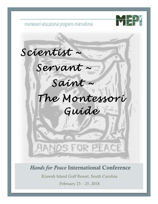

montessori educational programs international

# *Scientist ~*

# *Servant ~*

# *Saint ~*

# *The Montessori Guide*

# *Hands for Peace* International Conference

FOR PEACE

Kiawah Island Golf Resort, South Carolina

February 23 – 25, 2018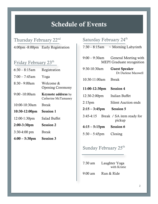# Schedule of Events

# Thursday February 22<sup>nd</sup>

# 4:00pm -8:00pm Early Registration

## Friday February 23<sup>th</sup>

| $6:30 - 8:15am$    | Registration                                     |
|--------------------|--------------------------------------------------|
| $7:00 - 7:45$ am   | Yoga                                             |
| 8:30 - 9:00am      | Welcome &<br><b>Opening Ceremony</b>             |
| $9:00 - 10:00$ am  | <b>Keynote address</b> by<br>Catherine McTamaney |
| $10:00 - 10:30$ am | <b>Break</b>                                     |
| $10:30-12:00$ pm   | <b>Session 1</b>                                 |
| 12:00-1:30pm       | Salad Buffet                                     |
| $2:00-3:30$ pm     | <b>Session 2</b>                                 |
| $3:30-4:00$ pm     | <b>Break</b>                                     |
| $4:00 - 5:30$ pm   | <b>Session 3</b>                                 |

## Saturday February 24<sup>th</sup>

 $7:30 - 8:15$ am ~ Morning Labyrinth

|                                  | $9:00 - 9:30$ am General Meeting with<br><b>MEPI</b> Graduate recognition |
|----------------------------------|---------------------------------------------------------------------------|
| 9:30-10:30am                     | <b>Guest Speaker</b><br>Dr Darlene Maxwell                                |
| 10:30-11:00am                    | <b>Break</b>                                                              |
| 11:00-12:30pm Session 4          |                                                                           |
| 12:30-2:00pm Italian Buffet      |                                                                           |
| $2:15$ pm                        | <b>Silent Auction ends</b>                                                |
| $2:15 - 3:45$ pm Session 5       |                                                                           |
|                                  | 3:45-4:15 Break / SA item ready for<br>pickup                             |
| $4:15 - 5:15$ pm Session 6       |                                                                           |
| $5:30-5:45$ pm Closing           |                                                                           |
| Sunday February 25 <sup>th</sup> |                                                                           |

| $7:30 \text{ am}$ | Laughter Yoga<br>with Kristie |
|-------------------|-------------------------------|
| $9:00 \text{ am}$ | Run & Ride                    |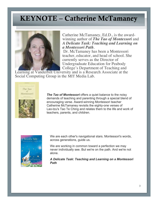# KEYNOTE – Catherine McTamaney



Catherine McTamaney, Ed.D., is the award- winning author of *The Tao of Montessori* and *A Delicate Task: Teaching and Learning on a Montessori Path*.

Dr. McTamaney has been a Montessori teacher, educator, and head of school. She currently serves as the Director of Undergraduate Education for Peabody College's Department of Teaching and

Learning at Vanderbilt University and is a Research Associate at the Social Computing Group in the MIT Media Lab.



*The Tao of Montessori* offers a quiet balance to the noisy demands of teaching and parenting through a special blend of encouraging verse. Award-winning Montessori teacher Catherine McTamaney revisits the eighty-one verses of Lao-tzu's Tao Te Ching and relates them to the life and work of teachers, parents, and children.



We are each other's navigational stars. Montessori's words, across generations, guide us.

We are working in common toward a perfection we may never individually see. But we're on the path. And we're not alone.

*A Delicate Task: Teaching and Learning on a Montessori Path*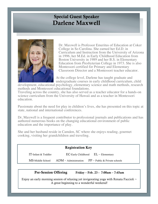# Special Guest Speaker Darlene Maxwell



Dr. Maxwell is Professor Emeritus of Education at Coker College in So Carolina. She earned her Ed.D. in Curriculum and Instruction from the University of Arizona in 1996, her M.Ed. in Early Childhood Education from Boston University in 1989 and her B.S. in Elementary Education from Presbyterian College in 1973. She is also Montessori certified for Primary and Elementary Classroom Director and a Montessori teacher educator.

At the college level, Darlene has taught graduate and undergraduate courses in early childhood curriculum, child

development, educational psychology, elementary science and math methods, research methods and Montessori educational foundations.

Traveling across the country, she has also served as a teacher educator for a hands-on science curriculum from the University of Hawaii and as a teacher in Montessori education.

Passionate about the need for play in children's lives, she has presented on this topic at state, national and international conferences.

Dr, Maxwell is a frequent contributor to professional journals and publications and has authored numerous books on the changing educational environment of public education and the importance of play.

She and her husband reside in Camden, SC where she enjoys reading, gourmet cooking, visiting her grandchildren and traveling.

### Registration Key

IT-Infant & Toddler EC-Early Childhood EL – Elementary

4

 $MS$ -Middle School  $ADM -$ Administration  $PP -$  Public & Private schools

### Pre-Session Offering Friday – Feb. 23 - 7:00am – 7:45am

Enjoy an early morning session of relaxing yet invigorating yoga with Renata Faccioli  $\sim$ A great beginning to a wonderful weekend!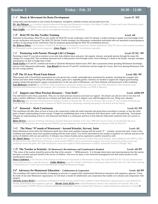### *1-A* Music & Movement for Brain Development Level: IT /EC

Using music and movement to aid in brain development, strengthen vestibular systems and just plain have fun.

**Dr. Aja Debruyn** - is a certified cognitive behavioral therapist and Montessori certified at the Infant/Toddler, Primary and Lower Elementary levels. She is the MEPI conference chair and the Secretary on our Board of Directors.

**Dain Griffin** is an MEPI intern and an accomplished musician in the Southwest.

### *1-B* MACTE On-Site Verifier Training Level: All

Session 1

Interested in becoming a MACTE on-site verifier for MACTE on-site verification visits? Or already a verifier looking to update your knowledge of the on-site verification visit process? The MACTE On-Site Verifier training is for Montessori credentialed individuals who are interested in participating as verifiers on upcoming on-site verification visits for programs going through the MACTE accreditation process..

*Dr. Rebecca Pelton* is the President of MACTE (Montessori Accreditation Council for Teacher Education). MACTE serves as the national accreditor for Montessori teacher preparation programs. *Aimee Fagan* is the MACTE Accreditation specialist.

### *1-C* Partnering with Parents Through Life's Changes Level: IT/EC /PP

Parenting is hard! It's our job as teachers to not only help children learn and grow, but support, educate, and guide parents through the many life changes of a young child. This workshop discusses how to help parents work through events, from toileting to a death in the family, and give strategies and guidance on how to bridge these events.

*Sarah Galley* is IT and EC certified and works at Charlotte Montessori School since 2010. She is passionate about spreading Montessori knowledge and joy of the Montessori philosophy. *Lisa Howell* also has her IT and EC certification and has taught for 9 years. She loves sharing Montessori with her two young children.

### *1-D* The 10 Acre Wood Farm School **Level: MS** /PP

What started with a PowerPoint presentation has now grown into a small, sustainable farm maintained by students, including the youngest who interact and learn while working with chickens, turkeys, goats and a vegetable garden. Genetics are studied to support the Angora goat breeding program along with growing for organic seed production. In the true spirit of Montessori, our Farm Students will present part of this workshop. *Lisa McKenzie* completed her NAMTA/AMI orientation to adolescent studies and works with Clay-Platte Montessori Farm Students in the education and maintenance for this program. She is presently the Adolescent Director at CPMS in Missouri.

### *1-E* Support your Most Precious Resource – Your Staff ! Level: ADM/PP

Our staff deserve more than a paycheck. They are our most precious resources and need our support. All schools can add an event or two that will make a positive difference. Come join us to discuss and share ideas on how to support your staff throughout the year. Bring your calendar! *Flo Hart* has been involved with Montessori Children's School in Jacksonville, NC for over 24 years. She is in her 9<sup>th</sup> year as Head of School and loves her staff! Flo also serves as the Treasurer for MEPI and enjoys swimming, canoeing and going to the beach with her family.

### *1-F* Sensorial - Math Continuum Level: EC/PP

This workshop will offer ideas on how to look at the connections within the math materials and group them according to concept, so that the child gains a deeper understanding of each concept. It begins by establishing those roots in Sensorial with observation, order and patterning. Participants will gain an understanding of how to view Sensorial and Math as a continuum and how to best help the child easily transition from one activity to another.

*Helen DeVere* is director of Orlando Montessori Teacher Education Institute in FL since 1990. She served 3 terms on the MACTE Board of Directors. She spends her time teaching with OMTEI, giving workshops and seminars along with accreditation visits for MACTE.

#### *1-G* The Many "S"ounds of Montessori – beyond Scientist, Servant, Saint Level: All

Maria Montessori wrote about the Montessori guide have three main qualities starting with the sound "S" – scientist, servant and saint. Come to this workshop and explore many more qualities starting with the same sound. You will be astonished by the number of qualities we cultivate and put at the service of children with our care and love. It will give you a boost of pride and an aspiration to perfect yourself as well.

*Dr. Daniel Jutras* is the Director and Master Teacher for the Canadian Montessori Teacher Education Institute, which affiliated with MEPI in 2012. He has served on the MEPI Board of Directors and developed MEPI's school accreditation program. He travels extensively giving courses and workshops across the globe. His AMI certification course was taught by Maria Montessori's student, Antonietta Paolini in Perugia, Italy.

#### *1-H* The Teacher as Scientist –Dr Montessori's Revolutionary and Transformative Standard Level: All/PP

"The vision of the teacher should be precise like that of the scientist…" (MMontessori). It is through observation and experimentation that the teacher becomes a scientist and puts herself in the service of children. Join us as we share a new classroom management tool that assists teachers in this transformative process.

*Nancy Lindeman* is the Director of the Institute for Montessori Innovation at Westminster College. She hold MEPI EC,EL I-II and Administrative level certificates and is a special educator. *Cathie Mathews* is an EC teacher at Montessori Community School in Salt Lake City. She's been teaching in Montessori for 12 years and is an internationally recognized Montessori blogger.

#### *1-I* Advocacy for Montessori Education - Collaboration & Cooperation Level: All/PP

This workshop will explore the benefits of engaging in advocacy to support fully implemented Montessori education with regulatory agencies. Using the work of one state Montessori organization, we will share a model of collaboration and cooperation that enable us to educate and compromise with integrity.

current President of MEPI and the Colorado Montessori Association. She has worked with Christine to support Montessori education in Colorado. *Christine Lowry M.Ed* is a consultant at Montessori NOW and has worked with a number of state Montessori organizations to create Montessorifriendly relationships with regulatory agencies. *Martha Teien M.Ed* owns a small Montessori school in the mountains of Colorado. She is the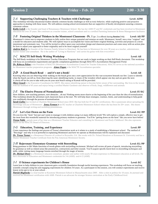.

### *2-A* Supporting Challenging Teachers & Teachers with Challenges Level: ADM

This workshop will help educational leaders identify common faculty challenges as well as toxic behavior, while exploring positive and proactive approaches to dealing with these issues. We will address creating school environments that are supportive of faculty development assuring a missionconsistent culture.

*Kathy Leitch* is the founder and head of Renaissance Montessori School. She has her AMS IT and EC credentials and has been involved in Montessori education for over 35 years. She continues as a teacher trainer, school consultant and is a certified Parenting Instructor & Stress Management facilitator.

### 2-B Fostering Original Thinkers in the Montessori Classroom - Pt. 1 (pt. 2 is offered during Session 3-A) Level: All/PP

Montessori's vision was to empower students to fully realize their unique potential and mission on earth. Montessori, herself, was a true "original" and a model for educators and students alike. We will explore ways to accomplish her vision and foster original thinking, activities and projects in a more intentional and systematic way. You will be invited to reflect upon your curriculum design and classroom practices and come away with an action plan for how to adjust your approach to foster originality and to be more original yourself!

**Andrew Kutt is** the founder of the Oneness Family School in Maryland. He has been in Montessori for over 30 years as a teacher, administrator, teacher trainer and consultant. He is the author of "Living in Harmony" and carries his guitar with him everywhere!

### *2-C* MACTE Self-Study Writing Workshop Level: All

The Self-Study workshop is for Montessori Teacher Education Programs that are ready to begin working on their Self-Study document. This workshop will focus on accreditation requirements and specific compilation guidelines through MACTE's Accreditation Management Portal.

*Dr. Rebecca Pelton* is the President of MACTE (Montessori Accreditation Council for Teacher Education). MACTE serves as the national accreditor for Montessori teacher preparation programs. *Aimee Fagan* is the MACTE Accreditation specialist.

### **2-D** A Good Beach Read - and it's not a book! Level: All

Knowing what you are observing while walking on the beach gives one a new appreciation for this vast ecosystem beneath our feet. Learn to identify what the beach can tell us, from observing the sand, identifying tracks, to many of the wonders which appear one day and are gone the next. A check-off list for you to take with you on your next beach outing at Kiawah will be provided.

*Mary Cusack* is the Executive Coordinator for MEPI. She enjoys identifying nature to become better aware of her surrounding. She lives in the woods with her husband of 45 years and enjoys being a certified Master Gardener and observer of birds, fungi, wildflowers and animals.

### *2-E* The Elusive Process of Normalization Level: IT/EC

New children, new teaching partners, new obstacles…oh my! Nothing seems more elusive at the beginning of the year than the idea of normalization. This workshop details the adventure each classroom faces at the start. We will help share strategies, routines, limits, and understanding to help guide you confidently through the process of normalization.

*Sarah Galley* has worked at Charlotte Montessori School since 2010. She has both her IT and EC certifications. She is passionate about spreading the knowledge and joy of Montessori. *Jenny Formon* is an EC teacher at Charlotte Montessori School where she has been for 20+ years. She shares Montessori through writing and workshop presentations.

### *2-F* Let's Get Down on the Farm Level: EC/PP

Do you love the "farm" but just can't seem to manage it with children using it at many different levels? We will explore a simple, effective way to get the most from this wonderful material for introducing primary students to grammar. You'll be "getting down on the farm" like you never have before! *Teresa Noble* spends most of her time as a Montessori Teacher Educator and consulting for Montessori and Early Childhood. She also represents MEPI on the MACTE Board of Directors.

#### *2-G* Education, Training, and Experience Level: PP

Come experience the findings and process of Teresa's dissertation work as it relates to a study of establishing a Montessori school. The method of "Bricolage" and why it is so powerful in explaining Montessori and how we operate as Montessorians will be explained and discussed. *Dr. Teresa Turner* is a Montessori Director of a school in Reynolds, GA. She works with Dr. Feland Meadows at Kennesaw St. University and has a Master Montessori Teacher Certificate from the Pan American Montessori Society.

### 2-H Rejuvenate Elementary Grammar with Storytelling Level: EL/PP

Bring grammar to life! Make functions of words glisten with storytelling excitement. Michael will review all parts of speech, introducing storytelling for grammar as well as related areas like possessives, contractions and letter sounds. You'll acquire specific know-how in storytelling techniques and skills, while visiting many language lessons enriched through the magic of stories.

*Dr. Michael Dorer* is a Montessori educator consultant, speaker and author with nearly 50 years experience in Montessori education at all levels. He has a doctorate in Education and Montessori credentials for 3-6 (AMS) and 6-12 (AMI).

### 2-*I* 15 Science experiments for Children's House Level: EC

Learn how to help children in your classroom gain a scientific foundation through tactile learning experiences. This workshop will focus on teaching scientific concepts using fun and engaging experiments for children 3-6 years. As a participant in this session, you will conduct experiments and receive lesson write-ups to try at your school. .

*Patrick Mcglinchy* is a lead teacher at Keystone Montessori School in Massachusetts since 2005. After a stint in politics for 10 years, he pursued and received his Montessori certification with AMS. Patrick is an advocate for stronger Science curriculum at the Early Childhood level.

### $\overline{{\rm Friday - Feb. 23}}$  2:00 – 3:30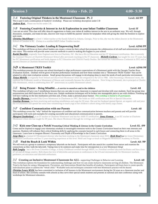### *3-A* Fostering Original Thinkers in the Montessori Classroom - Pt. 2 Level: All/PP

This is part 2 and a continuation of Andrew's workshop. Please see workshop description under 2-B Andrew Kutt Please see his bio under 2-B.

#### *3-B* Fostering Creativity & Interest in Art & Exploration in your Infant Toddler Classroom Level: IT I am not an artist! This class will offer ideas & suggestions to foster your infant & toddlers interest in the arts in an authentic way. We will, through

discussion, examples, and make & take, discover new ways to fulfill the parents' desires for keepsakes while still giving the child the freedom to explore and create.

*Christina Muehlbauer* is a level 1 Infant teacher at the Suzuki School in Atlanta, Georgia. Prior to this, she was the infant director at the Montessori School of Camden in SC. Chrissy is a certified MEPI Infant Toddler teacher.

### *3-C* The Visionary Leader: Leading & Empowering Staff Level: ADM/PP

This workshop will focus on how school leaders can create a vision for their school that promotes the collaboration of all staff and administration towards one vision. This session will provide some concrete methods to assist in making this happen in your school.

*Rachel Buechler* originally from England now lives in Charlotte, NC. She has a BA in Education and her IT Montessori certification. She is currently the Assistant Director at Charlotte Montessori School after previously teaching in the IT classroom. *Michelle Cochran* has taught for over 15 years, has her EC Montessori certification and holds degrees in EC Education and Child & Family Studies. She earned her Administrator Credential in 2012 and is current Director at Charlotte Montessori School.

### *3-D* A Montessori TKES Toolkit Level: ADM/PP

This workshop presents the process one school developed to align performance expectations of a Montessori guide with the Georgia Teacher Keys Evaluation System. Outlines will be given of teacher performance standards and how these translate into a "Montessori TKES Toolkit" that can be adapted to other state evaluation systems. Small group discussions will engage in developing ideas to meet the needs of each particular environment. *Tanya Melville* is originally from Ireland and discovered Montessori when she emigrated to the US in 1986. After becoming a Montessori mom, she explored the Erdkinder model at Montessori of Macon and eventually became the school's director. Now living in Savannah, she is principal at Charles Ellis Montessori, which is celebrating their  $30<sup>th</sup>$  anniversary as a public Montessori school.

#### *3-E* Being Present – Being Mindful....A service to ourselves and to the children Level: All Level: All

This workshop will give you 5 mindfulness lessons that you can take to your classroom to expand and develop with your students. Each has group time presentations and shelf materials for the Peace area. Simple meditation techniques will be broken into manageable parts to use with children. Finishing up will have walking on the line meditation activities and, if time, make a personal peace banner. *This workshop is limited to 25 participants.*

**Jennifer Sherman** founded Oak Grove Montessori in Charleston in 1997. She holds an AMI certification and BA in Special Education. **Caroline Brennan** has been practicing and teaching mindfulness and yoga for 20 years. She and her husband opened Sprout, an organic café and juice bar in Charleston and spends her extra time volunteering to teach yoga at her children's school along with family yoga classes.

### *3-F* Confident Communication with our Parents Level: All

This workshop covers the "why" behind the importance of confident and clear communication between teachers and parents and will provide participants with tools and examples for creating successful and educational communication to parents.

*Margaret Southerland* is an IT teacher at Charlotte Montessori and has her AMS IT certification. *Jenny Formon* is an EC teacher at Charlotte Montessori where she has taught for 20 years. She shares Montessori through her writings and workshop presentations.

#### *3-G* Kick your Class up a Notch! Promoting Critical Thinking & Literacy in the Cosmic Curriculum Level: EL /PP

Come and be inspired to engage your elementary students in meaningful extension work to the Cosmic Curriculum based on their own interests and passions. Students will enhance their critical thinking skills by applying the concepts learned in each lesson and connecting them to all areas in the classroom. Learn how to integrate Bloom's Taxonomy and Depth of Knowledge to the Cosmic Curriculum

*Jorge Haro* is a trained 6-9 Montessori director who has been working in the Montessori classroom since 2010. *Heidi Reed* has her lower Elementary Montessori certification and has 11 years teaching experience at this level. Heidi and Jorge co-teach at Magnolia Montessori Academy in Florida.

### *3-H* Find the Beach & Look Within Level: All /PP

We will work as a group to construct a temporary labyrinth on the beach. Participants will also search for a symbol from nature and examine the connections as they walk the labyrinth. Taking time to be outdoors and make time for introspection is a very Montessori thing!

**Beth Langley** has a BA from Columbia College, is Early Childhood certified through MEPI, is a Veriditas certified labyrinth facilitator and has a love of art and all things creative. Beth shares her love of labyrinths and presents at conferences in the US and internationally for Montessori teachers, gardeners, art educators and labyrinth enthusiasts.

### 3-I Creating an Inclusive Montessori Classroom for ALL- supporting Challenges in Behavior and Learning Level: All

This workshop explores the foundation for understanding challenges and how we can create inclusive classrooms serving all children. The Montessori Triad is the basis for using a Management, Prevention, and Intervention Model that benefits all students. Participants will learn how to create specific individualized plans to address the "whole child." Workable tools and techniques consistent with best Montessori practice will be shared. *Christine Lowry M.Ed.* has been committed to inclusion of all learners in the Montessori environment during her 24 years as a classroom teacher and head of school. She currently consults with schools as they serve their special needs students and presents at national and state conference along with workshops for Montessori educators..

### 7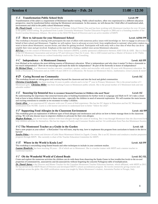### *4-A* Transformation Public School Style Level: PP

Transformation of the adult is a requirement of Montessori teacher training. Public school teachers, often very experienced in a different education perspective, must be transformed before entering the Montessori environment. In this session, we will discuss the 3-fold effect of transformed adult, environment and child in the public school Montessori setting.

*Dr. Floyd Creech* is director of School Readiness in Florence School District One and has been working with Montessori teachers for over 10 years in the public school setting. He graduated from Lander University Montessori Teacher Education Program in 2004 and is a founding member of the South Carolina Montessori Alliance. He serves on the MACTE Board of Directors and is an active member of MEPI.

### *4-B* How to Advocate for your Montessori School Level: ADM/PP

This workshop is focused on sharing with participants the state of affairs with numerous policy issues with knowledge on how to engage in advocacy on behalf of their school and Montessori. Together we will explore: how to advocate at every level, from neighborhood to national; what policy makers most want to know about Montessori; success stories; and ideas for getting involved. Participants will walk away with a clear idea of what they can do to amplify their voice and get involved. Emphasis at the state level is finding a unified voice across Montessori educators.

*RB Fast* is on the council of Montessori Public Policy Initiative (MPPI), a jointly sponsored collaborative between AMI/USA & AMS. She is a foun of the CO Montessori Association and served as VP and Advocacy Chair for 4 years. She is AMI trained and has a Master of Science in EC Public Policy & Advocacy. She serves as a school leadership coach at Bee Line Consulting.

### *4-C* Independence – A Montessori Journey Level: All/PP

Join Michael as he explores the most defining mantra of Montessori education. What is independence and why does it matter? Is there a downside to too much independence? How do we encourage and teach the skills for independence? Be part of the fireworks in honor of independence!

*Dr Michael Dorer* is a Montessori teacher educator, consultant, speaker, author and storyteller with nearly 50 years with Montessori education. He holds a Doctorate in Education and an AMS 3-6 and AMI 6-12 certifications. He focuses on Montessori theory, mathematics, Great Lessons & more!

### *4-D* Caring Beyond our Community Level: EC

This workshop focuses on taking grace and courtesy beyond the classroom and into the local and global communities.

**Christina Cruickshanks** has been teaching 16 years in public schools and is in her 5<sup>th</sup> year in Primary Montessori. She is the proud mother of 3 Montessori girls. *Christina Miller* has been teaching 8 years in Montessori public schools. She is the proud mother of 2 Montessori kids and one adorable toddler!

### *4-E* Snazzing Up Sensorial How to reconnect Sensorial Exercises to Children who need Them! Level: EC

By understanding the importance that sensorial lessons play in building foundations for further work in Language and Math we'll let's take a closer look at how to keep children connected to these exercises – especially the children in need of sensorial exploration. We will examine the main lessons and exciting extensions to consider as we reconnect to today's children.

*Carrie Allen* is an experienced EC educator with over 25 years of field experience. She has her EC degree in Education and her EC Montessori certification from NCME. Carrie is a life learner and strives to understand how to better "follow the child".

### *4-F* Supporting Food Allergies in the Classroom Environment Level: All/PP

This workshop gives an explanation of different types of food allergies and intolerances and advice on how to better manage them in the classroom setting. We will also discuss ways to empower children to advocate for their own allergies.

*Meghan Redman* has served many children with food allergies through her years of working. But it was through Montessori that she discovered how to help children advocate for themselves. She has her degree in Family and Consumer Studies and her 3-6 certification from Pan-Am Montessori Society.

### *4-G* The Montessori Teacher as a Guide in the Garden Level: All

Start a new project at your school – a BioGarden! You will learn, step-by-step, how to implement this program from curriculum to hands in the dirt to harvest!

**Sandra Pokos** is the owner and director of Little Heart Montessori School in Zagreb, Croatia. She is an EC director and conducts a teacher preparation program through MEPI. She currently is chair of the Teacher Education Committee for MEPI.

### *4-H* Where in the World is Koala Lou? Level: All/PP

This workshop is storytelling using flannel boards and other techniques to include in your continent studies. *Luanne Hendricks* has been teaching 38 years – 20 of which are in Montessori. She is a teacher trainer with MEPI and a mentor teacher to

traditional teachers.

### *4-I* Oh the Wonderful World of Colored Beads Level: EC/EL

Come and explore the numerous activities the children can do with them from dissecting the Snake Game in four trouble-free levels to the so-cool properties of commutativity, associativity and dis-associativity without forgetting the concrete Pythagoras table of multiplication.

*Dr. Daniel Jutras* is the Director and Master Teacher for the Canadian Montessori Teacher Education Institute, which affiliated, with MEPI in 2012. He has served on the MEPI Board of Directors and developed MEPI's school accreditation program. He travels extensively giving courses and workshops across the globe. His AMI certification course was taught by Maria Montessori's student, Antonietta Paolini in Perugia, Italy.

### Saturday – Feb. 24 11:00 – 12:30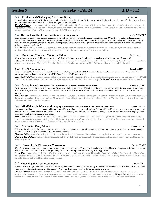#### *5-A* Toddlers and Challenging Behavior: Biting Level: IT

Let's talk about biting: why kids bite and how to handle the biter and the bitten. Before our roundtable discussion on the types of biting, there will be a brief presentation on how this guide handles biting in her environment.

 $Saturday - Feb. 24$  2:15 – 3:45

*Meredith Hines* was introduced to Montessori in 1996 and was hired by Sherry Sweet-Miller at the Montessori School of Camden where she is still employed. She has been a Toddler Assistant, Director, Extended day Director, Summer Coordinator, Field Consultant and Teacher Trainer. She has been on her school's Board of Director and is a new MEPI Board member.

#### *5-B* How to have Hard Conversations with Employees **Level: ADM/PP**

Confrontation is tough. Many school leaders struggle with how to approach staff members about concerns. Often they let it slide or become rigid authoritarians because of their discomfort with hard conversations. We will explore the fine art of approaching tough topics with grace and courtesy while maintaining the integrity of our policies. Participants will walk away knowing how to have those hard conversations that leave both parties feeling empowered and grateful.

*RB Fast* is a school leadership coach committed to helping administrators realize their vision for their school with strength and grace. A former teacher and administrator, she works with school leaders across the globe as they build strong communities.

#### *5-C* Montessori Teacher – Montessori Mom Level: All

Many of us have our own children with us at school. Let's talk about how we handle being a teacher or administrator AND a parent !

*Bobbi Brown-Flannery* is the Director of Still Water Montessori School in South Carolina. Out of 23 years teaching, the last 10 have been spent in a Montessori environment. She has her Bachelor of Science in Family Studies from the U of Arizona and her Masters in EC education.

### **5-D** MEPI Accreditation Level: ADM

Take your school to the next level of excellence. This workshop, presented by MEPI's Accreditation coordinators, will explain the process, the procedures, and the benefits of becoming MEPI Accredited - a Gold status school.

*Dr. John Moncure* serves as headmaster of the Montessori School of Camden, SC. He is an MEPI Board member and an On-Site Verifier for MACTE.. John has authored three books and numerous articles. He holds a Ph.D from Cornell University. *Dr. Daniel Jutras* - Please see his bio under 4-I.

#### *5-E* Facing Inward. The Spiritual & Transformative nature of our Montessori Work Level: All/PP

Dr. Montessori believed that by directing our efforts toward helping the inner self, both the child and the adult, we might be able to save humanity and to build a better, more peaceful world. This participatory workshop is for those interested in exploring Montessori and the transformative nature of our work.

*Melody Mosby* hold the AMI Advanced diploma from Washington Institute in Washington D.C. and the Montessori Secondary diploma from MEPI. She currently teaches adolescents at Athens Montessori in GA and is program director for Adolescent Teacher Training. She is a lifelong Montessorian and is committed to education for peace.

#### *5-F* Mindfulness in Montessori: Bringing Awareness & Connectedness to the Elementary classroom Level: EL/PP

Learn activities that engage elementary children in mindfulness. Making silence and walking the line will be offered as participatory experiences, and their use in the elementary classroom will be discussed as enhancing mindfulness. You'll also see sewing, art, music and movement as helping students focus and calm their minds, spirits and bodies.

*Rose Dorer* is AMS EC and AMI Elementary certified with a Masters degree in Education. She has taught EC and lower and upper Elementary as well as adults at the postgraduate level for St Catherine University and Westminster College. Rose is certified for Educational Administration and has presented at many Montessori conferences on Language, Peace and Biology.

#### *5-G* Science for Every Month Level: EC/EL

This workshop is designed to provide hands-on science experiments for each month. Attendees will have an opportunity to try a few experiments in a rotation style workshop. Come ready for a fun filled workshop!

*Christina Miller* has a Masters in primary Montessori from Lander University. She has been teaching for 8 years in a public primary classroom. *Christina Cruickshanks* has her Montessori credentials from MEPI and has taught in both traditional and Montessori classrooms with Montessori being her passion!

#### *5-H* Gardening in Elementary Classrooms **Level: EL/PP** Level: EL/PP

We will focus on how to implement gardening into elementary classrooms. Teachers will receive resources of how to incorporate this into classes on a daily basis. We will discuss how to make gardening fun and interesting to instill life-long gardening passion!

*Casey Moyer* has a Master's degree in Curriculum and Instruction and is currently working on her Doctorate in School Administration. She worked for 8 years in the public Montessori sector and has, for the past 10 years, been in private Montessori education working at Montessori World School in Orlando, Florida as head of their Elementary program.

#### *5-I* Extending the Montessori Hours Level: All

We will focuse on tips and tricks as to how aftercare is presented to students, from beginning to the end of the school year. We will look at what shelf work is used, what line times are used for ages  $2 - 9$ , plus gardening and what we do for fun Friday's as well.

*Lindsey Johnson* is an assistant teacher in the toddler classroom and this year added the aftercare responsibility to her roster. She has been at St. Andrew's Montessori in Georgia for 5 years and is currently enrolled to obtain her IT Montessori certification. *Meagan Laurens* is an assistant teacher in the early childhood classroom and also works in the aftercare programs. Her future plans include an EC Montessori certification.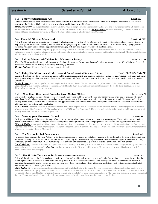### *6-A* Beauty of Renaissance Art Level: EL

Come and learn how to use Renaissance art in your classroom. We will share prints, resources and ideas from Megan's experience at the Teacher Institute of the National Gallery of Art and how we have used it in our lower EL classes.

*Megan Minchener* has taught Montessori lower EL for 9 years in the public Title 1 schools in SC. She was one of 50 teachers in the US accepted into the Teacher Institute at the National Gallery of Art to study Renaissance Art for 6 days *Britney Smith* has been instructing Montessori since 2009. She and Megan both teacher lower EL at Murray-LaSaine Elementary in Charleston, South Carolina.

 $Saturday - Feb. 24$   $4:15 - 5:15$ 

### *6-B* Essential Oils and Montessori Level: All/PP

This will be an informative presentation on essential oil science and use which will be followed by interactive discussion and sensory experiences to help participants understand the many opportunities for bringing beauty and comfort into their environments. We connect botany, geography and chemistry with daily use of oils and opportunities for bringing self- care to a higher level for both guide and child.

*Renata Faccioli* is the owner and primary guide at Starlight School in Nevada, providing Montessori education for IT and EC children. She is a wellness advocate for essential oils and a fitness enthusiast. She is passionate about sharing personal and family health through Montessori philosophy, mindful movement, and essential oils.

#### *6-C* Raising Montessori Children in a Microwave Society Level: All/PP

When Dr. Montessori perfected her philosophy, she had no idea what an "instant gratification" society we would become. We will discuss the art of patience in a world where waiting is becoming increasingly obsolete.

*Meghan Redman* Please see Meghan's bio under Session 4-F.

#### *6-D* Using World Instrument, Movement & Sound to enrich Educational Offerings Level: EL/MS/ADM/PP

Daniel will instruct how to use instruments and sound to increase engagement, and augment lessons in various subjects. Teachers will learn instrument making ideas, simple gathering rhythms of the world, and ways to reinforce traditional core curriculum components with music, rhythm, movement and sound.

*Daniel Scruggs* has studied, performed and taught music for over 25years. He teaches at Sundrops Montessori's four campuses in and around Charleston, SC. His curiosity and love of learning have led him to study many cultural traditions throughout the world. He is the founder of the Rhythm Moves cultural education program.

#### *6-E* Why Can't they Focus? Supporting Sensory Needs of Children Level: All/PP

This workshop explains the importance of sensory regulation in young children. You will learn how sensory needs often lead to children who can't focus, keep their hands to themselves, or regulate their emotions. You will also learn how daily observations can serve as indicators of underlying sensory needs. Many activities will be introduced to support these children to help them focus and regulate their emotions. These can be incorporated into work time, group time and outside play.

*Holli Andrews* has been teaching in Montessori since 2000. After helping start a Montessori school she then became Learning specialist at another Montessori school in Charlotte, NC. She has her Master's of EC from San Francisco St University and is dedicated to helping children overcome their sensory needs and reach their individual potential.

### *6-F* Opening your Montessori School Level: ALL

Participants will be guided through the steps of successfully starting a Montessori school and creating a business plan. Topics addressed will include: personal requirements, market analysis, forecast assumptions, school promotion, cash flow projections, site location and regulatory frameworks. *Elizabeth Hobbs* is an experienced Montessori educator and financial professional. She operated, for 10 years, a Montessori school she founded and also was Head of the American International Montessori School in Hanoi, Viet Nam. She has her EC and El certifications and currently teaches at the Montessori elementary level in Maryland.

### *6-G* The Science behind Perseverance Level: All

Nowadays, to go beyond, the word "effort", to do it again, repeat and try again, are not always as easy to the ear for either the child or the parent, and not easy to accomplish. Why is it that some children will keep trying and persevere as long as necessary while others struggle? Is it because of family education? Society? Heredity? What can we propose to children and teachers to help facilitate this state of mind and this way of life? *Pascale Quirion* has been a teacher for 25 years and teacher training for 9. Her passion is Montessori and loves the challenge of offering children and parents the best "keys to success". *Allan Nguyen* has been teaching for 10 years in Elementary. He is motivated to share his vision and belief on what he feels is the best pedagogy.

#### *6-H* The 3R's for Teachers & Staff: Rest, Renewal and Reflection Level: All

This workshop is designed to help teachers recognize the value and need for cultivating rest, renewal and reflection in their personal lives so that they can bring the best of themselves to their work on a daily basis. Within the framework of the Circle, participants will be guided through a series of queries and exercises to identify their own inner core and most deeply held values, which inform and guide their work so they can bring the best of themselves and truly cultivate peace within.

*Claire Salkowski* is an educator, professional mediator and Circle facilitator with almost 40 years experience in education. She has taught at every level from toddlers through graduate students. She was Director of Montessori Education and Associate Professor at Delaware St University and has been involved in several Montessori teacher-training centers. She founded Free State Montessori School in Maryland and continues as their educational director. Her curriculum development includes subjects on peace education, conflict resolution, and peer mediation.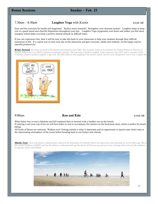7:30am – 8:30am Laughter Yoga with Kristie Level: All

Easy and fun exercises for health and happiness! Reduce stress instantly! Strengthen your immune system! Laughter helps to keep you in a good mood and cheerful disposition throughout your day. Laughter Yoga oxygenates your brain and makes you feel more energetic which helps you keep a positive mental attitude in difficult times.

If you can experience this, then it will be easy to take this back to your classroom to help your students through their difficult transitions in life. It's a great way to start your day in the classroom and gets everyone, adults and students, on the happy road to cheerful productivity!

*Kristie Norwood* has been involved in Montessori environments since 2003. She currently works at the Institute for Guided Studies as Director of Student Affairs and is an MEPI conference committee member. She has been a certified Laughter Yoga instructor since 2012 and is co-leader of the Columbia, South Carolina Laughter Yoga Club. She fully believes that laughing is the easiest, fastest, and the most inexpensive way to live a happy life.



### 9:00am **Run and Ride** Level: All

What better way to end a fabulous and full weekend than to unwind with a healthy run on the beach! If running is not your cup of tea we will have bikes to rent to accompany the runners on the hard-pack sand, which is perfect for beach biking.

All levels of fitness are welcome. Walkers too!! Getting outside is what is important and an opportunity to spend some down time at the rejuvenating atmosphere of the ocean before heading back to our homes and schools.

*Martha Teien* owns and directs a small primary school in the mountains of Colorado where she enjoys the crisp mountain air on her daily jogs. She is the current President of MEPI and has the ability to enthusiastically get the Board of Directors up and out of our meeting chairs and into the outdoors to regroup, renew, and refresh!

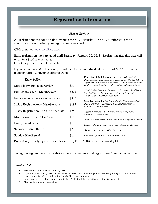## Registration Information

### *How to Register*

All registrations are done on-line, through the MEPI website. The MEPI office will send a confirmation email when your registration is received.

Click or go to: www.mepiforum.org

Early registration rates are good until Saturday, January 20, 2018. Registering after this date will result in a \$100 rate increase. On site registration is not available.

If your school is a MEPI school, you still need to be an individual member of MEPI to qualify for member rates. All memberships renew in

| Rates & Fees                         |       | <b>Friday Salad Buffet:</b> Mixed Garden Greens & Hearts of<br>Romaine, Slice mushrooms, Cucumbers, Carrots, Hard-boiled eggs,                                                                                                                                                                                                                                                                                                                                                        |
|--------------------------------------|-------|---------------------------------------------------------------------------------------------------------------------------------------------------------------------------------------------------------------------------------------------------------------------------------------------------------------------------------------------------------------------------------------------------------------------------------------------------------------------------------------|
| MEPI individual membership           | \$50  | Aged Cheddar & crumbled Blue cheese, Shaved Red Onion, Bacon<br>Lardons, Grape Tomatoes, Garlic Croutons and assorted dressings.<br>Sliced Chicken Breasts $\sim$ Marinated local Shrimp $\sim$ Basil Pesto<br>Tortellini Salad ~ Roasted Potato Salad ~ Rolls & Butter ~<br>Lemon Tarts $\sim$ Individual Pecan Pies<br><b>Saturday Italian Buffet:</b> Caesar Salad w/Parmesan & Black<br>Pepper Croutons $\sim$ Charcuterie & Cheese Presentation w/<br>traditional Accompaniments |
| <b>Full Conference – Member rate</b> | \$225 |                                                                                                                                                                                                                                                                                                                                                                                                                                                                                       |
| Full Conference – non-member rate    | \$300 |                                                                                                                                                                                                                                                                                                                                                                                                                                                                                       |
| 1 Day Registration – Member rate     | \$185 |                                                                                                                                                                                                                                                                                                                                                                                                                                                                                       |
| 1 Day Registration – non member rate | \$250 | Eggplant Parmesan, Wood roasted tomato sauce, melted                                                                                                                                                                                                                                                                                                                                                                                                                                  |
| Montessori Intern -full or 1 day     | \$150 | Provolone & Garden Herbs<br>Wild Mushroom Ravioli, Crispy Prosciutto & Gorgonzola Cream                                                                                                                                                                                                                                                                                                                                                                                               |
| Friday Salad Buffet                  | \$18  | Chicken Alfredo, Broccoli, Penne Pasta & Sundried Tomatoes                                                                                                                                                                                                                                                                                                                                                                                                                            |
| Saturday Italian Buffet              | \$20  | Warm Focaccia, butter & Olive Tapenade                                                                                                                                                                                                                                                                                                                                                                                                                                                |
| Sunday Bike Rental                   | \$14  | $Chocolate Dipped Biscott - Fresh Fruit Tarts$                                                                                                                                                                                                                                                                                                                                                                                                                                        |

Payment for your early registration must be received by Feb. 1, 2018 to avoid a \$25 monthly late fee.

To register – go to the MEPI website access the brochure and registration from the home page.

### *Cancellation Policy*

- Fees are non-refundable after Jan. 7, 2018.
- If you find, after Jan. 7, 2018 you are unable to attend, for any reason, you may transfer your registration to another person, or receive a letter of donation from MEPI for tax purposes.
- Cancellations received, in writing, prior to Jan. 7, 2018, will have a \$40 cancellation fee deducted.
- Memberships are non-refundable.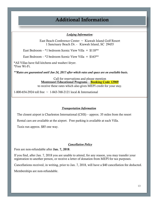# Additional Information

### *Lodging Information:*

East Beach Conference Center  $\sim$  Kiawah Island Golf Resort 1 Sanctuary Beach Dr. - Kiawah Island, SC 29455

East Bedroom – \*1 bedroom Scenic View Villa =  $$118**$ 

East Bedroom – \*2 bedroom Scenic View Villa =  $$163**$ 

\*All Villas have full kitchens and washer/dryer. \*Free Wi-Fi.

*\*\*Rates are guaranteed until Jan 24, 2017 after which rates and space are on available basis.*

Call for reservations and please mention Montessori Educational Programs – Booking Code 12969 to receive these rates which also gives MEPI credit for your stay.

1-800-654-2924 toll free ~ 1-843-768-2121 local & International

### *Transportation Information*

The closest airport is Charleston International (CHS) – approx. 35 miles from the resort

Rental cars are available at the airport. Free parking is available at each Villa.

Taxis run approx. \$85 one way.

### *Cancellation Policy*

Fees are non-refundable after Jan. 7, 2018.

If you find, after Jan. 7, 2018 you are unable to attend, for any reason, you may transfer your registration to another person, or receive a letter of donation from MEPI for tax purposes.

Cancellations received, in writing, prior to Jan. 7, 2018, will have a \$40 cancellation fee deducted.

Memberships are non-refundable.